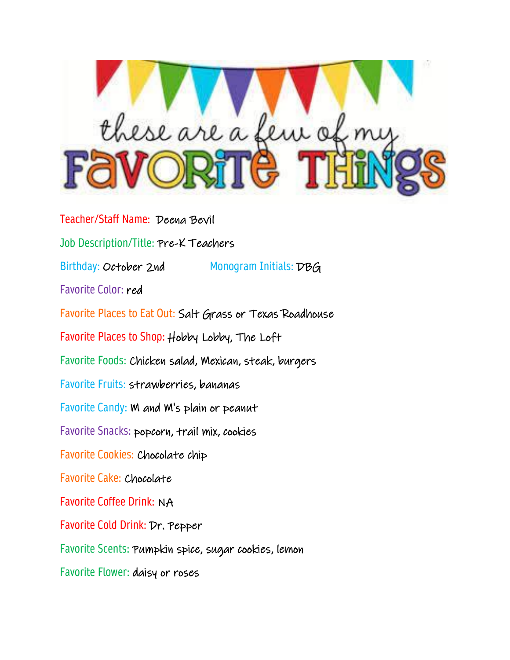

Teacher/Staff Name: Deena Bevil Job Description/Title: Pre-K Teachers Birthday: October 2nd Monogram Initials: DBG Favorite Color: red Favorite Places to Eat Out: Salt Grass or Texas Roadhouse Favorite Places to Shop: Hobby Lobby, The Loft Favorite Foods: Chicken salad, Mexican, steak, burgers Favorite Fruits: strawberries, bananas Favorite Candy: M and M's plain or peanut Favorite Snacks: popcorn, trail mix, cookies Favorite Cookies: Chocolate chip Favorite Cake: Chocolate Favorite Coffee Drink: NA Favorite Cold Drink: Dr. Pepper Favorite Scents: Pumpkin spice, sugar cookies, lemon Favorite Flower: daisy or roses